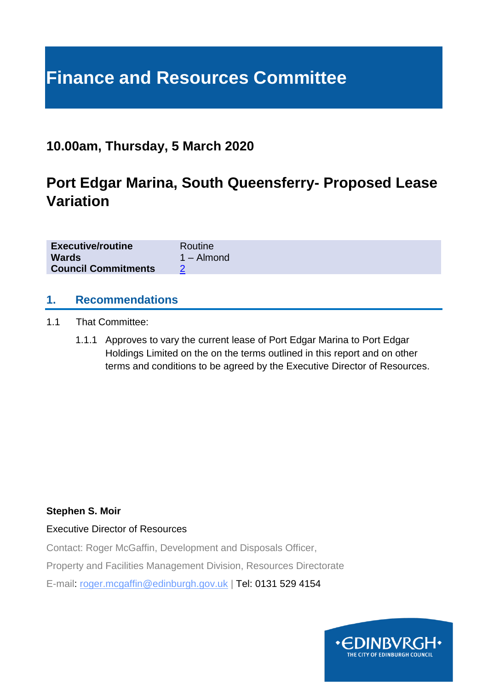# **Finance and Resources Committee**

# **10.00am, Thursday, 5 March 2020**

# **Port Edgar Marina, South Queensferry- Proposed Lease Variation**

| <b>Executive/routine</b>   | Routine      |
|----------------------------|--------------|
| <b>Wards</b>               | $1 -$ Almond |
| <b>Council Commitments</b> |              |

#### **1. Recommendations**

- 1.1 That Committee:
	- 1.1.1 Approves to vary the current lease of Port Edgar Marina to Port Edgar Holdings Limited on the on the terms outlined in this report and on other terms and conditions to be agreed by the Executive Director of Resources.

#### **Stephen S. Moir**

#### Executive Director of Resources

Contact: Roger McGaffin, Development and Disposals Officer,

Property and Facilities Management Division, Resources Directorate

E-mail: roger.mcgaffin@edinburgh.gov.uk | Tel: 0131 529 4154

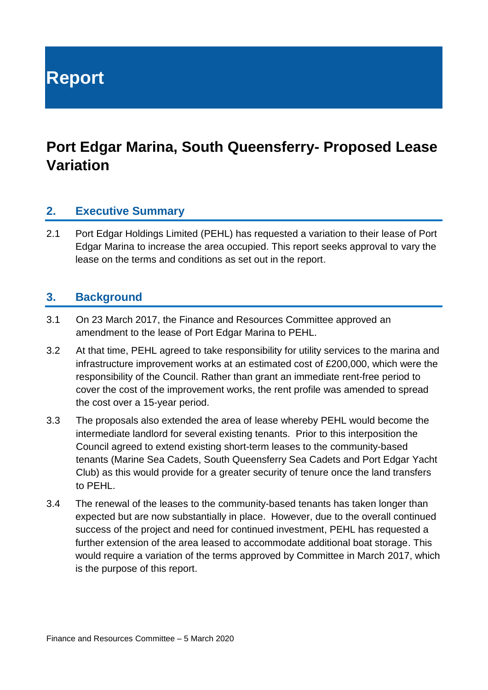**Report**

# **Port Edgar Marina, South Queensferry- Proposed Lease Variation**

#### **2. Executive Summary**

2.1 Port Edgar Holdings Limited (PEHL) has requested a variation to their lease of Port Edgar Marina to increase the area occupied. This report seeks approval to vary the lease on the terms and conditions as set out in the report.

#### **3. Background**

- 3.1 On 23 March 2017, the Finance and Resources Committee approved an amendment to the lease of Port Edgar Marina to PEHL.
- 3.2 At that time, PEHL agreed to take responsibility for utility services to the marina and infrastructure improvement works at an estimated cost of £200,000, which were the responsibility of the Council. Rather than grant an immediate rent-free period to cover the cost of the improvement works, the rent profile was amended to spread the cost over a 15-year period.
- 3.3 The proposals also extended the area of lease whereby PEHL would become the intermediate landlord for several existing tenants. Prior to this interposition the Council agreed to extend existing short-term leases to the community-based tenants (Marine Sea Cadets, South Queensferry Sea Cadets and Port Edgar Yacht Club) as this would provide for a greater security of tenure once the land transfers to PEHL.
- 3.4 The renewal of the leases to the community-based tenants has taken longer than expected but are now substantially in place. However, due to the overall continued success of the project and need for continued investment, PEHL has requested a further extension of the area leased to accommodate additional boat storage. This would require a variation of the terms approved by Committee in March 2017, which is the purpose of this report.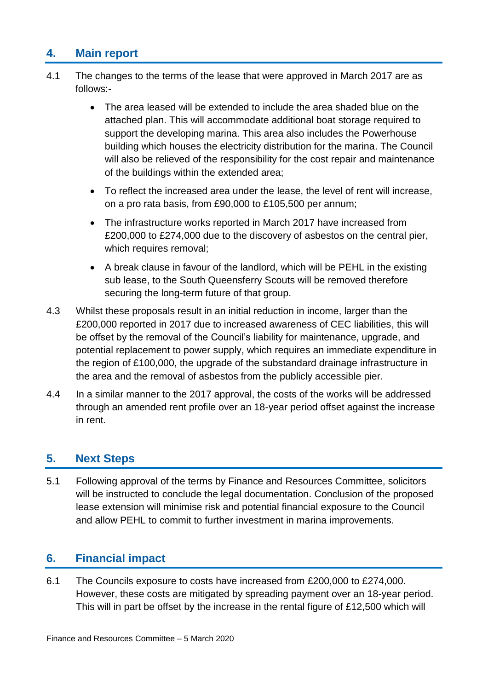# **4. Main report**

- 4.1 The changes to the terms of the lease that were approved in March 2017 are as follows:-
	- The area leased will be extended to include the area shaded blue on the attached plan. This will accommodate additional boat storage required to support the developing marina. This area also includes the Powerhouse building which houses the electricity distribution for the marina. The Council will also be relieved of the responsibility for the cost repair and maintenance of the buildings within the extended area;
	- To reflect the increased area under the lease, the level of rent will increase, on a pro rata basis, from £90,000 to £105,500 per annum;
	- The infrastructure works reported in March 2017 have increased from £200,000 to £274,000 due to the discovery of asbestos on the central pier, which requires removal;
	- A break clause in favour of the landlord, which will be PEHL in the existing sub lease, to the South Queensferry Scouts will be removed therefore securing the long-term future of that group.
- 4.3 Whilst these proposals result in an initial reduction in income, larger than the £200,000 reported in 2017 due to increased awareness of CEC liabilities, this will be offset by the removal of the Council's liability for maintenance, upgrade, and potential replacement to power supply, which requires an immediate expenditure in the region of £100,000, the upgrade of the substandard drainage infrastructure in the area and the removal of asbestos from the publicly accessible pier.
- 4.4 In a similar manner to the 2017 approval, the costs of the works will be addressed through an amended rent profile over an 18-year period offset against the increase in rent.

### **5. Next Steps**

5.1 Following approval of the terms by Finance and Resources Committee, solicitors will be instructed to conclude the legal documentation. Conclusion of the proposed lease extension will minimise risk and potential financial exposure to the Council and allow PEHL to commit to further investment in marina improvements.

# **6. Financial impact**

6.1 The Councils exposure to costs have increased from £200,000 to £274,000. However, these costs are mitigated by spreading payment over an 18-year period. This will in part be offset by the increase in the rental figure of £12,500 which will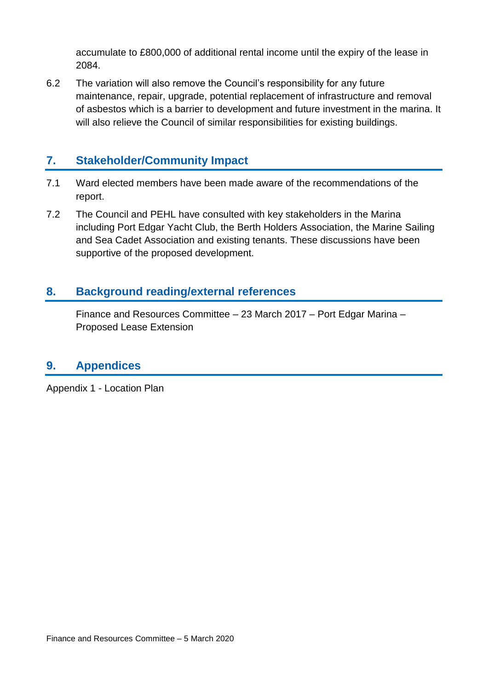accumulate to £800,000 of additional rental income until the expiry of the lease in 2084.

6.2 The variation will also remove the Council's responsibility for any future maintenance, repair, upgrade, potential replacement of infrastructure and removal of asbestos which is a barrier to development and future investment in the marina. It will also relieve the Council of similar responsibilities for existing buildings.

# **7. Stakeholder/Community Impact**

- 7.1 Ward elected members have been made aware of the recommendations of the report.
- 7.2 The Council and PEHL have consulted with key stakeholders in the Marina including Port Edgar Yacht Club, the Berth Holders Association, the Marine Sailing and Sea Cadet Association and existing tenants. These discussions have been supportive of the proposed development.

# **8. Background reading/external references**

Finance and Resources Committee – 23 March 2017 – Port Edgar Marina – Proposed Lease Extension

### **9. Appendices**

Appendix 1 - Location Plan